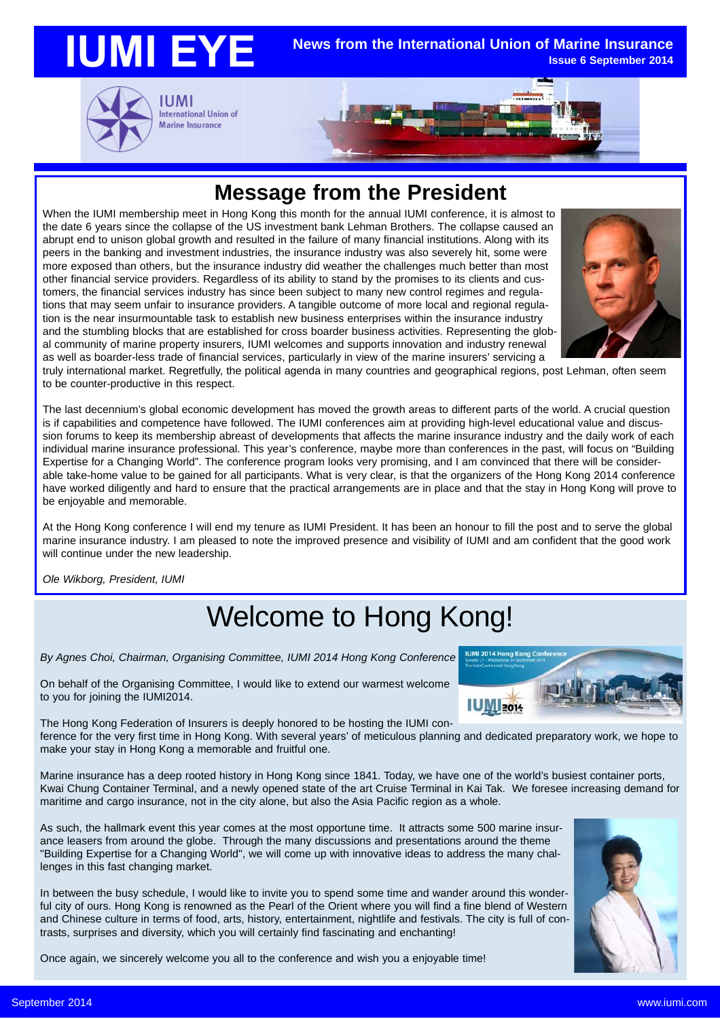

### **Message from the President**

When the IUMI membership meet in Hong Kong this month for the annual IUMI conference, it is almost to the date 6 years since the collapse of the US investment bank Lehman Brothers. The collapse caused an abrupt end to unison global growth and resulted in the failure of many financial institutions. Along with its peers in the banking and investment industries, the insurance industry was also severely hit, some were more exposed than others, but the insurance industry did weather the challenges much better than most other financial service providers. Regardless of its ability to stand by the promises to its clients and customers, the financial services industry has since been subject to many new control regimes and regulations that may seem unfair to insurance providers. A tangible outcome of more local and regional regulation is the near insurmountable task to establish new business enterprises within the insurance industry and the stumbling blocks that are established for cross boarder business activities. Representing the global community of marine property insurers, IUMI welcomes and supports innovation and industry renewal as well as boarder-less trade of financial services, particularly in view of the marine insurers' servicing a



truly international market. Regretfully, the political agenda in many countries and geographical regions, post Lehman, often seem to be counter-productive in this respect.

The last decennium's global economic development has moved the growth areas to different parts of the world. A crucial question is if capabilities and competence have followed. The IUMI conferences aim at providing high-level educational value and discussion forums to keep its membership abreast of developments that affects the marine insurance industry and the daily work of each individual marine insurance professional. This year's conference, maybe more than conferences in the past, will focus on "Building Expertise for a Changing World". The conference program looks very promising, and I am convinced that there will be considerable take-home value to be gained for all participants. What is very clear, is that the organizers of the Hong Kong 2014 conference have worked diligently and hard to ensure that the practical arrangements are in place and that the stay in Hong Kong will prove to be enjoyable and memorable.

At the Hong Kong conference I will end my tenure as IUMI President. It has been an honour to fill the post and to serve the global marine insurance industry. I am pleased to note the improved presence and visibility of IUMI and am confident that the good work will continue under the new leadership.

*Ole Wikborg, President, IUMI*

# Welcome to Hong Kong!

*By Agnes Choi, Chairman, Organising Committee, IUMI 2014 Hong Kong Conference*

On behalf of the Organising Committee, I would like to extend our warmest welcome to you for joining the IUMI2014.

**IUMI 2014 Hong Kong Conf IUM** 2014

The Hong Kong Federation of Insurers is deeply honored to be hosting the IUMI conference for the very first time in Hong Kong. With several years' of meticulous planning and dedicated preparatory work, we hope to

make your stay in Hong Kong a memorable and fruitful one.

Marine insurance has a deep rooted history in Hong Kong since 1841. Today, we have one of the world's busiest container ports, Kwai Chung Container Terminal, and a newly opened state of the art Cruise Terminal in Kai Tak. We foresee increasing demand for maritime and cargo insurance, not in the city alone, but also the Asia Pacific region as a whole.

As such, the hallmark event this year comes at the most opportune time. It attracts some 500 marine insurance leasers from around the globe. Through the many discussions and presentations around the theme "Building Expertise for a Changing World", we will come up with innovative ideas to address the many challenges in this fast changing market.

In between the busy schedule, I would like to invite you to spend some time and wander around this wonderful city of ours. Hong Kong is renowned as the Pearl of the Orient where you will find a fine blend of Western and Chinese culture in terms of food, arts, history, entertainment, nightlife and festivals. The city is full of contrasts, surprises and diversity, which you will certainly find fascinating and enchanting!

Once again, we sincerely welcome you all to the conference and wish you a enjoyable time!

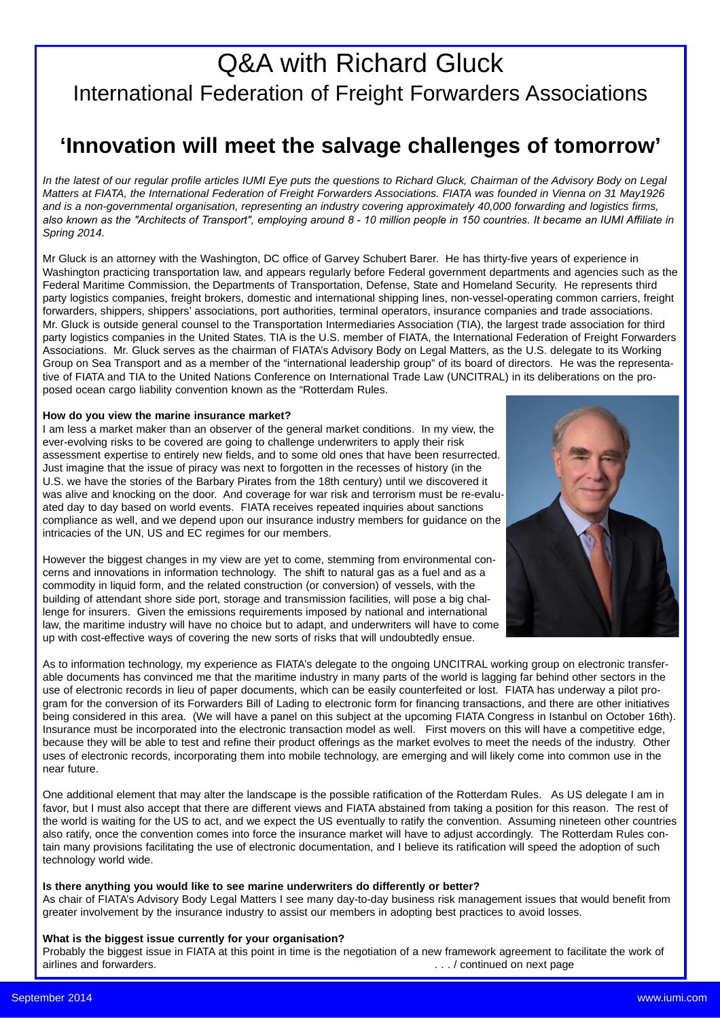# Q&A with Richard Gluck International Federation of Freight Forwarders Associations

## **'Innovation will meet the salvage challenges of tomorrow'**

*In the latest of our regular profile articles IUMI Eye puts the questions to Richard Gluck, Chairman of the Advisory Body on Legal Matters at FIATA, the International Federation of Freight Forwarders Associations. FIATA was founded in Vienna on 31 May1926 and is a non-governmental organisation, representing an industry covering approximately 40,000 forwarding and logistics firms,* also known as the "Architects of Transport", emploving around 8 - 10 million people in 150 countries. It became an IUMI Affiliate in *Spring 2014.*

Mr Gluck is an attorney with the Washington, DC office of Garvey Schubert Barer. He has thirty-five years of experience in Washington practicing transportation law, and appears regularly before Federal government departments and agencies such as the Federal Maritime Commission, the Departments of Transportation, Defense, State and Homeland Security. He represents third party logistics companies, freight brokers, domestic and international shipping lines, non-vessel-operating common carriers, freight forwarders, shippers, shippers' associations, port authorities, terminal operators, insurance companies and trade associations. Mr. Gluck is outside general counsel to the Transportation Intermediaries Association (TIA), the largest trade association for third party logistics companies in the United States. TIA is the U.S. member of FIATA, the International Federation of Freight Forwarders Associations. Mr. Gluck serves as the chairman of FIATA's Advisory Body on Legal Matters, as the U.S. delegate to its Working Group on Sea Transport and as a member of the "international leadership group" of its board of directors. He was the representative of FIATA and TIA to the United Nations Conference on International Trade Law (UNCITRAL) in its deliberations on the proposed ocean cargo liability convention known as the "Rotterdam Rules.

### **How do you view the marine insurance market?**

I am less a market maker than an observer of the general market conditions. In my view, the ever-evolving risks to be covered are going to challenge underwriters to apply their risk assessment expertise to entirely new fields, and to some old ones that have been resurrected. Just imagine that the issue of piracy was next to forgotten in the recesses of history (in the U.S. we have the stories of the Barbary Pirates from the 18th century) until we discovered it was alive and knocking on the door. And coverage for war risk and terrorism must be re-evaluated day to day based on world events. FIATA receives repeated inquiries about sanctions compliance as well, and we depend upon our insurance industry members for guidance on the intricacies of the UN, US and EC regimes for our members.

However the biggest changes in my view are yet to come, stemming from environmental concerns and innovations in information technology. The shift to natural gas as a fuel and as a commodity in liquid form, and the related construction (or conversion) of vessels, with the building of attendant shore side port, storage and transmission facilities, will pose a big challenge for insurers. Given the emissions requirements imposed by national and international law, the maritime industry will have no choice but to adapt, and underwriters will have to come up with cost-effective ways of covering the new sorts of risks that will undoubtedly ensue.



As to information technology, my experience as FIATA's delegate to the ongoing UNCITRAL working group on electronic transferable documents has convinced me that the maritime industry in many parts of the world is lagging far behind other sectors in the use of electronic records in lieu of paper documents, which can be easily counterfeited or lost. FIATA has underway a pilot program for the conversion of its Forwarders Bill of Lading to electronic form for financing transactions, and there are other initiatives being considered in this area. (We will have a panel on this subject at the upcoming FIATA Congress in Istanbul on October 16th). Insurance must be incorporated into the electronic transaction model as well. First movers on this will have a competitive edge, because they will be able to test and refine their product offerings as the market evolves to meet the needs of the industry. Other uses of electronic records, incorporating them into mobile technology, are emerging and will likely come into common use in the near future.

One additional element that may alter the landscape is the possible ratification of the Rotterdam Rules. As US delegate I am in favor, but I must also accept that there are different views and FIATA abstained from taking a position for this reason. The rest of the world is waiting for the US to act, and we expect the US eventually to ratify the convention. Assuming nineteen other countries also ratify, once the convention comes into force the insurance market will have to adjust accordingly. The Rotterdam Rules contain many provisions facilitating the use of electronic documentation, and I believe its ratification will speed the adoption of such technology world wide.

### **Is there anything you would like to see marine underwriters do differently or better?**

As chair of FIATA's Advisory Body Legal Matters I see many day-to-day business risk management issues that would benefit from greater involvement by the insurance industry to assist our members in adopting best practices to avoid losses.

### **What is the biggest issue currently for your organisation?**

Probably the biggest issue in FIATA at this point in time is the negotiation of a new framework agreement to facilitate the work of airlines and forwarders. . . . / continued on next page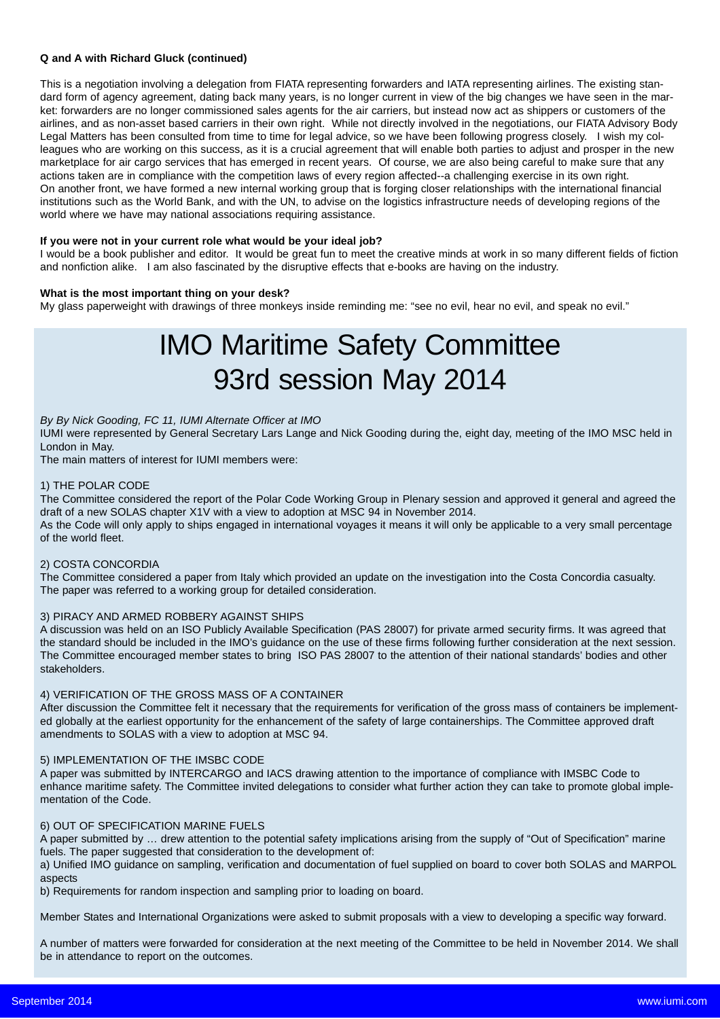### **Q and A with Richard Gluck (continued)**

This is a negotiation involving a delegation from FIATA representing forwarders and IATA representing airlines. The existing standard form of agency agreement, dating back many years, is no longer current in view of the big changes we have seen in the market: forwarders are no longer commissioned sales agents for the air carriers, but instead now act as shippers or customers of the airlines, and as non-asset based carriers in their own right. While not directly involved in the negotiations, our FIATA Advisory Body Legal Matters has been consulted from time to time for legal advice, so we have been following progress closely. I wish my colleagues who are working on this success, as it is a crucial agreement that will enable both parties to adjust and prosper in the new marketplace for air cargo services that has emerged in recent years. Of course, we are also being careful to make sure that any actions taken are in compliance with the competition laws of every region affected--a challenging exercise in its own right. On another front, we have formed a new internal working group that is forging closer relationships with the international financial institutions such as the World Bank, and with the UN, to advise on the logistics infrastructure needs of developing regions of the world where we have may national associations requiring assistance.

### **If you were not in your current role what would be your ideal job?**

I would be a book publisher and editor. It would be great fun to meet the creative minds at work in so many different fields of fiction and nonfiction alike. I am also fascinated by the disruptive effects that e-books are having on the industry.

### **What is the most important thing on your desk?**

My glass paperweight with drawings of three monkeys inside reminding me: "see no evil, hear no evil, and speak no evil."

# IMO Maritime Safety Committee 93rd session May 2014

### *By By Nick Gooding, FC 11, IUMI Alternate Officer at IMO*

IUMI were represented by General Secretary Lars Lange and Nick Gooding during the, eight day, meeting of the IMO MSC held in London in May.

The main matters of interest for IUMI members were:

#### 1) THE POLAR CODE

The Committee considered the report of the Polar Code Working Group in Plenary session and approved it general and agreed the draft of a new SOLAS chapter X1V with a view to adoption at MSC 94 in November 2014. As the Code will only apply to ships engaged in international voyages it means it will only be applicable to a very small percentage of the world fleet.

### 2) COSTA CONCORDIA

The Committee considered a paper from Italy which provided an update on the investigation into the Costa Concordia casualty. The paper was referred to a working group for detailed consideration.

### 3) PIRACY AND ARMED ROBBERY AGAINST SHIPS

A discussion was held on an ISO Publicly Available Specification (PAS 28007) for private armed security firms. It was agreed that the standard should be included in the IMO's guidance on the use of these firms following further consideration at the next session. The Committee encouraged member states to bring ISO PAS 28007 to the attention of their national standards' bodies and other stakeholders.

### 4) VERIFICATION OF THE GROSS MASS OF A CONTAINER

After discussion the Committee felt it necessary that the requirements for verification of the gross mass of containers be implemented globally at the earliest opportunity for the enhancement of the safety of large containerships. The Committee approved draft amendments to SOLAS with a view to adoption at MSC 94.

### 5) IMPLEMENTATION OF THE IMSBC CODE

A paper was submitted by INTERCARGO and IACS drawing attention to the importance of compliance with IMSBC Code to enhance maritime safety. The Committee invited delegations to consider what further action they can take to promote global implementation of the Code.

### 6) OUT OF SPECIFICATION MARINE FUELS

A paper submitted by … drew attention to the potential safety implications arising from the supply of "Out of Specification" marine fuels. The paper suggested that consideration to the development of:

a) Unified IMO guidance on sampling, verification and documentation of fuel supplied on board to cover both SOLAS and MARPOL aspects

b) Requirements for random inspection and sampling prior to loading on board.

Member States and International Organizations were asked to submit proposals with a view to developing a specific way forward.

A number of matters were forwarded for consideration at the next meeting of the Committee to be held in November 2014. We shall be in attendance to report on the outcomes.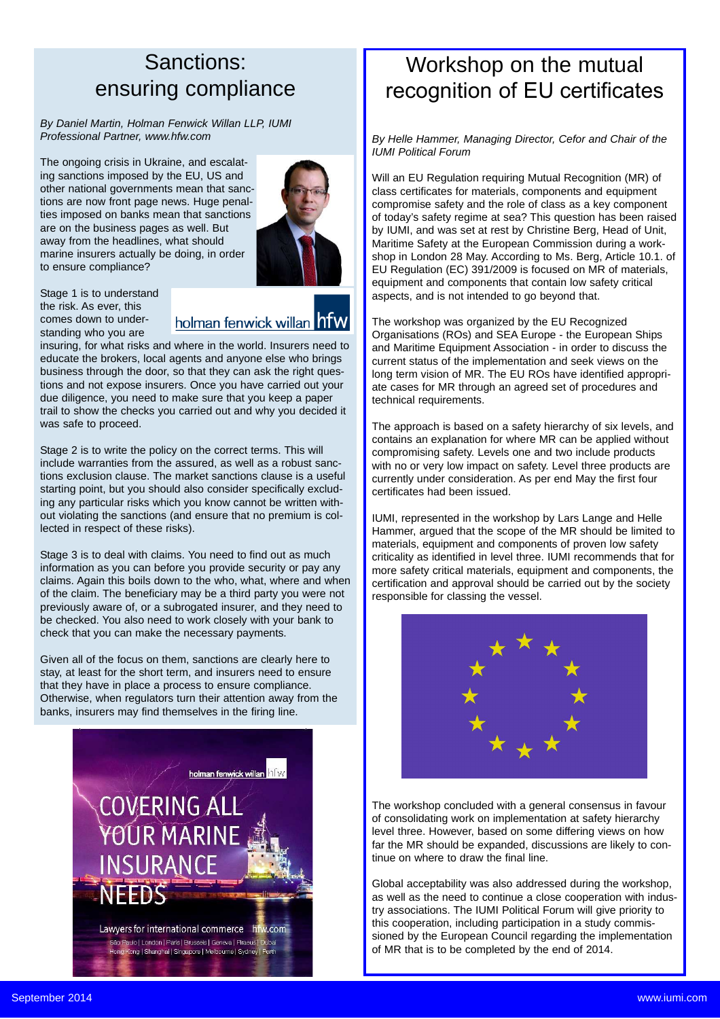## Sanctions: ensuring compliance

*By Daniel Martin, Holman Fenwick Willan LLP, IUMI Professional Partner, www.hfw.com*

The ongoing crisis in Ukraine, and escalating sanctions imposed by the EU, US and other national governments mean that sanctions are now front page news. Huge penalties imposed on banks mean that sanctions are on the business pages as well. But away from the headlines, what should marine insurers actually be doing, in order to ensure compliance?



Stage 1 is to understand the risk. As ever, this comes down to understanding who you are

holman fenwick willan hfw

insuring, for what risks and where in the world. Insurers need to educate the brokers, local agents and anyone else who brings business through the door, so that they can ask the right questions and not expose insurers. Once you have carried out your due diligence, you need to make sure that you keep a paper trail to show the checks you carried out and why you decided it was safe to proceed.

Stage 2 is to write the policy on the correct terms. This will include warranties from the assured, as well as a robust sanctions exclusion clause. The market sanctions clause is a useful starting point, but you should also consider specifically excluding any particular risks which you know cannot be written without violating the sanctions (and ensure that no premium is collected in respect of these risks).

Stage 3 is to deal with claims. You need to find out as much information as you can before you provide security or pay any claims. Again this boils down to the who, what, where and when of the claim. The beneficiary may be a third party you were not previously aware of, or a subrogated insurer, and they need to be checked. You also need to work closely with your bank to check that you can make the necessary payments.

Given all of the focus on them, sanctions are clearly here to stay, at least for the short term, and insurers need to ensure that they have in place a process to ensure compliance. Otherwise, when regulators turn their attention away from the banks, insurers may find themselves in the firing line.



# Workshop on the mutual recognition of EU certificates

*By Helle Hammer, Managing Director, Cefor and Chair of the IUMI Political Forum*

Will an EU Regulation requiring Mutual Recognition (MR) of class certificates for materials, components and equipment compromise safety and the role of class as a key component of today's safety regime at sea? This question has been raised by IUMI, and was set at rest by Christine Berg, Head of Unit, Maritime Safety at the European Commission during a workshop in London 28 May. According to Ms. Berg, Article 10.1. of EU Regulation (EC) 391/2009 is focused on MR of materials, equipment and components that contain low safety critical aspects, and is not intended to go beyond that.

The workshop was organized by the EU Recognized Organisations (ROs) and SEA Europe - the European Ships and Maritime Equipment Association - in order to discuss the current status of the implementation and seek views on the long term vision of MR. The EU ROs have identified appropriate cases for MR through an agreed set of procedures and technical requirements.

The approach is based on a safety hierarchy of six levels, and contains an explanation for where MR can be applied without compromising safety. Levels one and two include products with no or very low impact on safety. Level three products are currently under consideration. As per end May the first four certificates had been issued.

IUMI, represented in the workshop by Lars Lange and Helle Hammer, argued that the scope of the MR should be limited to materials, equipment and components of proven low safety criticality as identified in level three. IUMI recommends that for more safety critical materials, equipment and components, the certification and approval should be carried out by the society responsible for classing the vessel.



The workshop concluded with a general consensus in favour of consolidating work on implementation at safety hierarchy level three. However, based on some differing views on how far the MR should be expanded, discussions are likely to continue on where to draw the final line.

Global acceptability was also addressed during the workshop, as well as the need to continue a close cooperation with industry associations. The IUMI Political Forum will give priority to this cooperation, including participation in a study commissioned by the European Council regarding the implementation of MR that is to be completed by the end of 2014.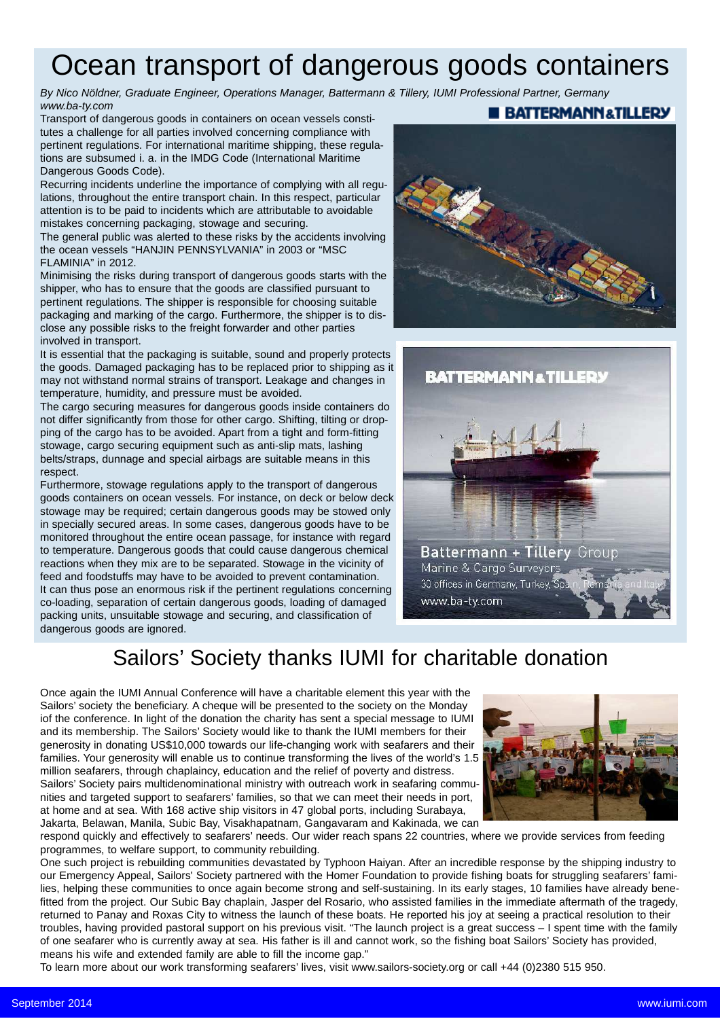# Ocean transport of dangerous goods containers

*By Nico Nöldner, Graduate Engineer, Operations Manager, Battermann & Tillery, IUMI Professional Partner, Germany www.ba-ty.com* **BATTERMANN&TILLERY** 

Transport of dangerous goods in containers on ocean vessels constitutes a challenge for all parties involved concerning compliance with pertinent regulations. For international maritime shipping, these regulations are subsumed i. a. in the IMDG Code (International Maritime Dangerous Goods Code).

Recurring incidents underline the importance of complying with all regulations, throughout the entire transport chain. In this respect, particular attention is to be paid to incidents which are attributable to avoidable mistakes concerning packaging, stowage and securing.

The general public was alerted to these risks by the accidents involving the ocean vessels "HANJIN PENNSYLVANIA" in 2003 or "MSC FLAMINIA" in 2012.

Minimising the risks during transport of dangerous goods starts with the shipper, who has to ensure that the goods are classified pursuant to pertinent regulations. The shipper is responsible for choosing suitable packaging and marking of the cargo. Furthermore, the shipper is to disclose any possible risks to the freight forwarder and other parties involved in transport.

It is essential that the packaging is suitable, sound and properly protects the goods. Damaged packaging has to be replaced prior to shipping as it may not withstand normal strains of transport. Leakage and changes in temperature, humidity, and pressure must be avoided.

The cargo securing measures for dangerous goods inside containers do not differ significantly from those for other cargo. Shifting, tilting or dropping of the cargo has to be avoided. Apart from a tight and form-fitting stowage, cargo securing equipment such as anti-slip mats, lashing belts/straps, dunnage and special airbags are suitable means in this respect.

Furthermore, stowage regulations apply to the transport of dangerous goods containers on ocean vessels. For instance, on deck or below deck stowage may be required; certain dangerous goods may be stowed only in specially secured areas. In some cases, dangerous goods have to be monitored throughout the entire ocean passage, for instance with regard to temperature. Dangerous goods that could cause dangerous chemical reactions when they mix are to be separated. Stowage in the vicinity of feed and foodstuffs may have to be avoided to prevent contamination. It can thus pose an enormous risk if the pertinent regulations concerning co-loading, separation of certain dangerous goods, loading of damaged packing units, unsuitable stowage and securing, and classification of dangerous goods are ignored.

## Sailors' Society thanks IUMI for charitable donation

Once again the IUMI Annual Conference will have a charitable element this year with the Sailors' society the beneficiary. A cheque will be presented to the society on the Monday iof the conference. In light of the donation the charity has sent a special message to IUMI and its membership. The Sailors' Society would like to thank the IUMI members for their generosity in donating US\$10,000 towards our life-changing work with seafarers and their families. Your generosity will enable us to continue transforming the lives of the world's 1.5 million seafarers, through chaplaincy, education and the relief of poverty and distress. Sailors' Society pairs multidenominational ministry with outreach work in seafaring communities and targeted support to seafarers' families, so that we can meet their needs in port, at home and at sea. With 168 active ship visitors in 47 global ports, including Surabaya, Jakarta, Belawan, Manila, Subic Bay, Visakhapatnam, Gangavaram and Kakinada, we can



respond quickly and effectively to seafarers' needs. Our wider reach spans 22 countries, where we provide services from feeding programmes, to welfare support, to community rebuilding.

One such project is rebuilding communities devastated by Typhoon Haiyan. After an incredible response by the shipping industry to our Emergency Appeal, Sailors' Society partnered with the Homer Foundation to provide fishing boats for struggling seafarers' families, helping these communities to once again become strong and self-sustaining. In its early stages, 10 families have already benefitted from the project. Our Subic Bay chaplain, Jasper del Rosario, who assisted families in the immediate aftermath of the tragedy, returned to Panay and Roxas City to witness the launch of these boats. He reported his joy at seeing a practical resolution to their troubles, having provided pastoral support on his previous visit. "The launch project is a great success – I spent time with the family of one seafarer who is currently away at sea. His father is ill and cannot work, so the fishing boat Sailors' Society has provided, means his wife and extended family are able to fill the income gap."

To learn more about our work transforming seafarers' lives, visit www.sailors-society.org or call +44 (0)2380 515 950.



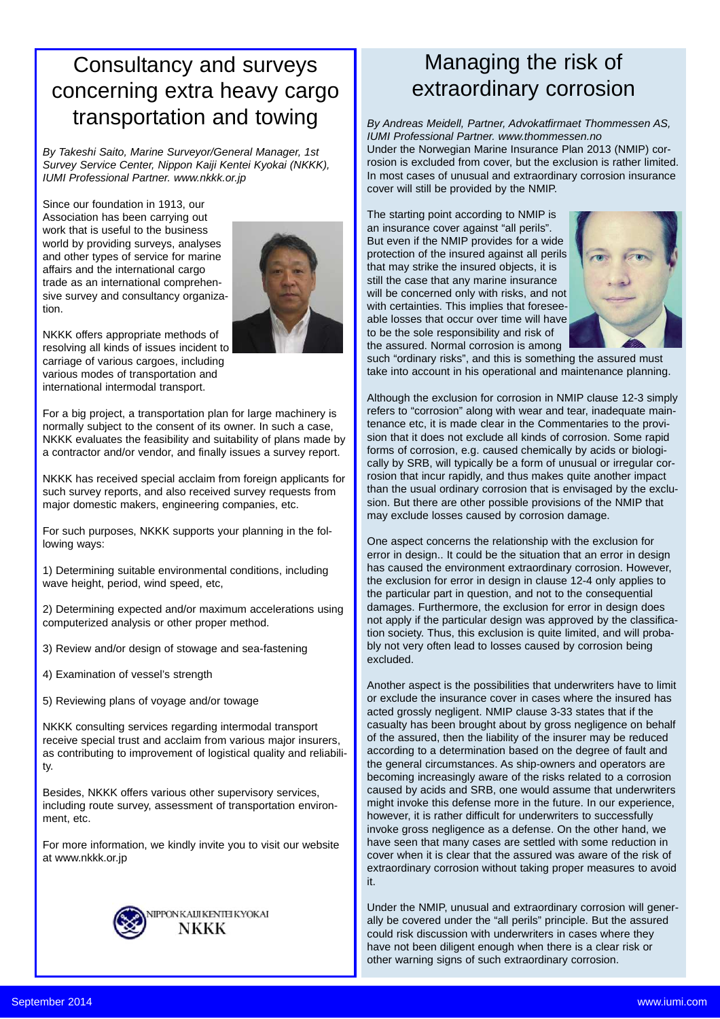## Consultancy and surveys concerning extra heavy cargo transportation and towing

*By Takeshi Saito, Marine Surveyor/General Manager, 1st Survey Service Center, Nippon Kaiji Kentei Kyokai (NKKK), IUMI Professional Partner. www.nkkk.or.jp*

Since our foundation in 1913, our Association has been carrying out work that is useful to the business world by providing surveys, analyses and other types of service for marine affairs and the international cargo trade as an international comprehensive survey and consultancy organization.



NKKK offers appropriate methods of resolving all kinds of issues incident to carriage of various cargoes, including various modes of transportation and international intermodal transport.

For a big project, a transportation plan for large machinery is normally subject to the consent of its owner. In such a case, NKKK evaluates the feasibility and suitability of plans made by a contractor and/or vendor, and finally issues a survey report.

NKKK has received special acclaim from foreign applicants for such survey reports, and also received survey requests from major domestic makers, engineering companies, etc.

For such purposes, NKKK supports your planning in the following ways:

1) Determining suitable environmental conditions, including wave height, period, wind speed, etc,

2) Determining expected and/or maximum accelerations using computerized analysis or other proper method.

3) Review and/or design of stowage and sea-fastening

4) Examination of vessel's strength

5) Reviewing plans of voyage and/or towage

NKKK consulting services regarding intermodal transport receive special trust and acclaim from various major insurers, as contributing to improvement of logistical quality and reliability.

Besides, NKKK offers various other supervisory services, including route survey, assessment of transportation environment, etc.

For more information, we kindly invite you to visit our website at www.nkkk.or.jp



# Managing the risk of extraordinary corrosion

*By Andreas Meidell, Partner, Advokatfirmaet Thommessen AS, IUMI Professional Partner. www.thommessen.no* Under the Norwegian Marine Insurance Plan 2013 (NMIP) corrosion is excluded from cover, but the exclusion is rather limited. In most cases of unusual and extraordinary corrosion insurance cover will still be provided by the NMIP.

The starting point according to NMIP is an insurance cover against "all perils". But even if the NMIP provides for a wide protection of the insured against all perils that may strike the insured objects, it is still the case that any marine insurance will be concerned only with risks, and not with certainties. This implies that foreseeable losses that occur over time will have to be the sole responsibility and risk of the assured. Normal corrosion is among



such "ordinary risks", and this is something the assured must take into account in his operational and maintenance planning.

Although the exclusion for corrosion in NMIP clause 12-3 simply refers to "corrosion" along with wear and tear, inadequate maintenance etc, it is made clear in the Commentaries to the provision that it does not exclude all kinds of corrosion. Some rapid forms of corrosion, e.g. caused chemically by acids or biologically by SRB, will typically be a form of unusual or irregular corrosion that incur rapidly, and thus makes quite another impact than the usual ordinary corrosion that is envisaged by the exclusion. But there are other possible provisions of the NMIP that may exclude losses caused by corrosion damage.

One aspect concerns the relationship with the exclusion for error in design.. It could be the situation that an error in design has caused the environment extraordinary corrosion. However, the exclusion for error in design in clause 12-4 only applies to the particular part in question, and not to the consequential damages. Furthermore, the exclusion for error in design does not apply if the particular design was approved by the classification society. Thus, this exclusion is quite limited, and will probably not very often lead to losses caused by corrosion being excluded.

Another aspect is the possibilities that underwriters have to limit or exclude the insurance cover in cases where the insured has acted grossly negligent. NMIP clause 3-33 states that if the casualty has been brought about by gross negligence on behalf of the assured, then the liability of the insurer may be reduced according to a determination based on the degree of fault and the general circumstances. As ship-owners and operators are becoming increasingly aware of the risks related to a corrosion caused by acids and SRB, one would assume that underwriters might invoke this defense more in the future. In our experience, however, it is rather difficult for underwriters to successfully invoke gross negligence as a defense. On the other hand, we have seen that many cases are settled with some reduction in cover when it is clear that the assured was aware of the risk of extraordinary corrosion without taking proper measures to avoid it.

Under the NMIP, unusual and extraordinary corrosion will generally be covered under the "all perils" principle. But the assured could risk discussion with underwriters in cases where they have not been diligent enough when there is a clear risk or other warning signs of such extraordinary corrosion.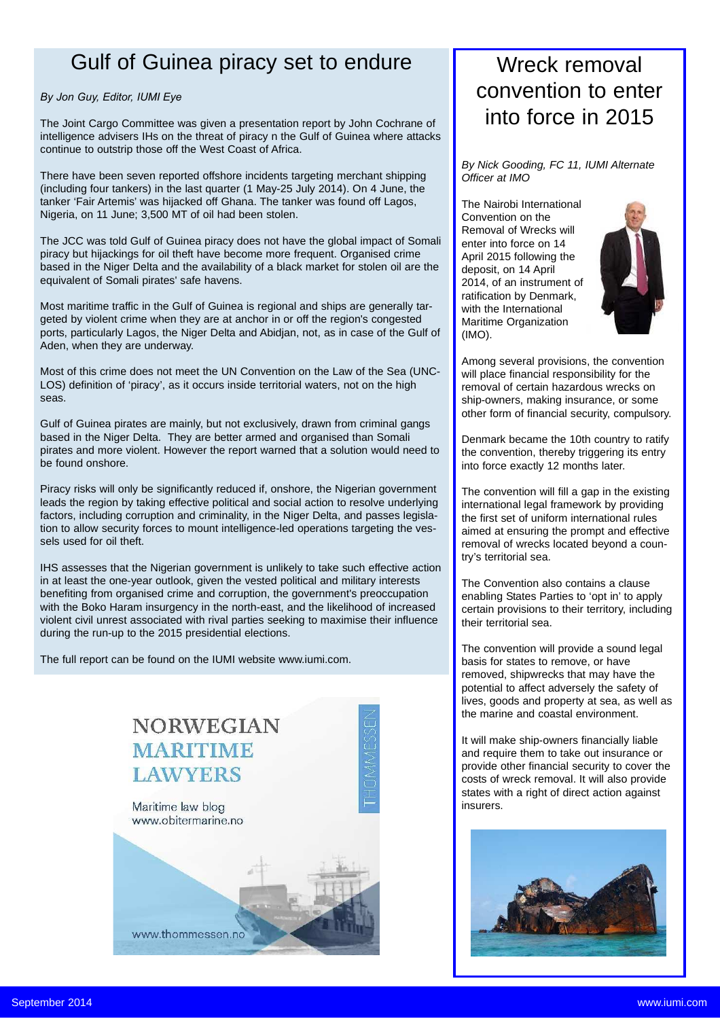### Gulf of Guinea piracy set to endure

### *By Jon Guy, Editor, IUMI Eye*

The Joint Cargo Committee was given a presentation report by John Cochrane of intelligence advisers IHs on the threat of piracy n the Gulf of Guinea where attacks continue to outstrip those off the West Coast of Africa.

There have been seven reported offshore incidents targeting merchant shipping (including four tankers) in the last quarter (1 May-25 July 2014). On 4 June, the tanker 'Fair Artemis' was hijacked off Ghana. The tanker was found off Lagos, Nigeria, on 11 June; 3,500 MT of oil had been stolen.

The JCC was told Gulf of Guinea piracy does not have the global impact of Somali piracy but hijackings for oil theft have become more frequent. Organised crime based in the Niger Delta and the availability of a black market for stolen oil are the equivalent of Somali pirates' safe havens.

Most maritime traffic in the Gulf of Guinea is regional and ships are generally targeted by violent crime when they are at anchor in or off the region's congested ports, particularly Lagos, the Niger Delta and Abidjan, not, as in case of the Gulf of Aden, when they are underway.

Most of this crime does not meet the UN Convention on the Law of the Sea (UNC-LOS) definition of 'piracy', as it occurs inside territorial waters, not on the high seas.

Gulf of Guinea pirates are mainly, but not exclusively, drawn from criminal gangs based in the Niger Delta. They are better armed and organised than Somali pirates and more violent. However the report warned that a solution would need to be found onshore.

Piracy risks will only be significantly reduced if, onshore, the Nigerian government leads the region by taking effective political and social action to resolve underlying factors, including corruption and criminality, in the Niger Delta, and passes legislation to allow security forces to mount intelligence-led operations targeting the vessels used for oil theft.

IHS assesses that the Nigerian government is unlikely to take such effective action in at least the one-year outlook, given the vested political and military interests benefiting from organised crime and corruption, the government's preoccupation with the Boko Haram insurgency in the north-east, and the likelihood of increased violent civil unrest associated with rival parties seeking to maximise their influence during the run-up to the 2015 presidential elections.

The full report can be found on the IUMI website www.iumi.com.



### Wreck removal convention to enter into force in 2015

*By Nick Gooding, FC 11, IUMI Alternate Officer at IMO*

The Nairobi International Convention on the Removal of Wrecks will enter into force on 14 April 2015 following the deposit, on 14 April 2014, of an instrument of ratification by Denmark, with the International Maritime Organization (IMO).



Among several provisions, the convention will place financial responsibility for the removal of certain hazardous wrecks on ship-owners, making insurance, or some other form of financial security, compulsory.

Denmark became the 10th country to ratify the convention, thereby triggering its entry into force exactly 12 months later.

The convention will fill a gap in the existing international legal framework by providing the first set of uniform international rules aimed at ensuring the prompt and effective removal of wrecks located beyond a country's territorial sea.

The Convention also contains a clause enabling States Parties to 'opt in' to apply certain provisions to their territory, including their territorial sea.

The convention will provide a sound legal basis for states to remove, or have removed, shipwrecks that may have the potential to affect adversely the safety of lives, goods and property at sea, as well as the marine and coastal environment.

It will make ship-owners financially liable and require them to take out insurance or provide other financial security to cover the costs of wreck removal. It will also provide states with a right of direct action against insurers

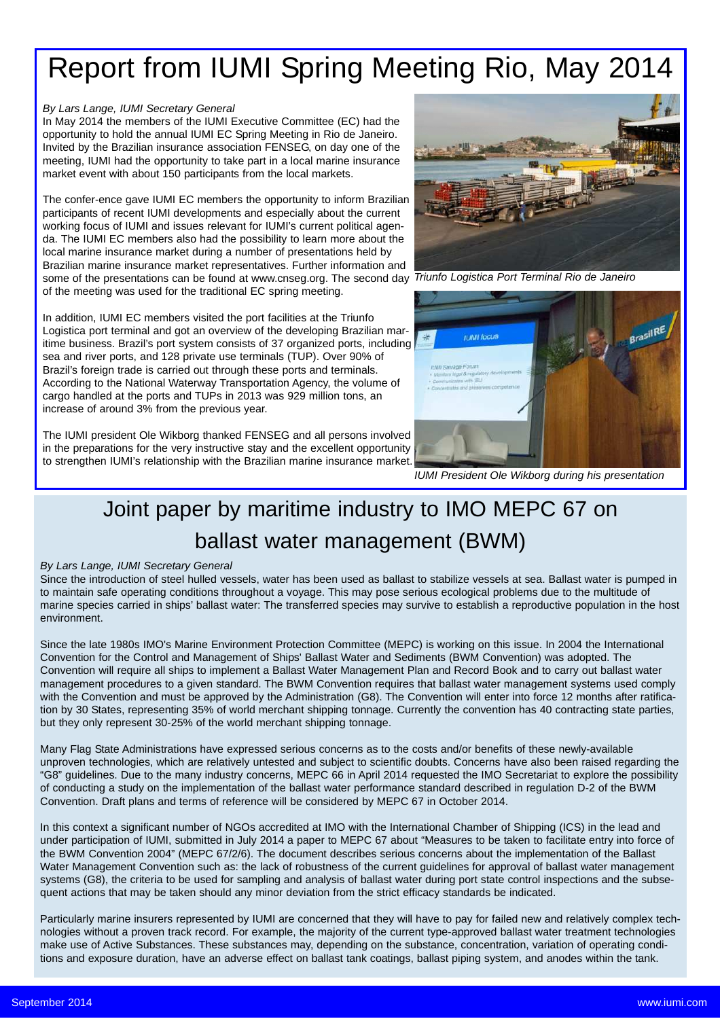# Report from IUMI Spring Meeting Rio, May 2014

### *By Lars Lange, IUMI Secretary General*

In May 2014 the members of the IUMI Executive Committee (EC) had the opportunity to hold the annual IUMI EC Spring Meeting in Rio de Janeiro. Invited by the Brazilian insurance association FENSEG, on day one of the meeting, IUMI had the opportunity to take part in a local marine insurance market event with about 150 participants from the local markets.

The confer-ence gave IUMI EC members the opportunity to inform Brazilian participants of recent IUMI developments and especially about the current working focus of IUMI and issues relevant for IUMI's current political agenda. The IUMI EC members also had the possibility to learn more about the local marine insurance market during a number of presentations held by Brazilian marine insurance market representatives. Further information and some of the presentations can be found at www.cnseg.org. The second day *Triunfo Logistica Port Terminal Rio de Janeiro*of the meeting was used for the traditional EC spring meeting.

In addition, IUMI EC members visited the port facilities at the Triunfo Logistica port terminal and got an overview of the developing Brazilian maritime business. Brazil's port system consists of 37 organized ports, including sea and river ports, and 128 private use terminals (TUP). Over 90% of Brazil's foreign trade is carried out through these ports and terminals. According to the National Waterway Transportation Agency, the volume of cargo handled at the ports and TUPs in 2013 was 929 million tons, an increase of around 3% from the previous year.

The IUMI president Ole Wikborg thanked FENSEG and all persons involved in the preparations for the very instructive stay and the excellent opportunity to strengthen IUMI's relationship with the Brazilian marine insurance market.





*IUMI President Ole Wikborg during his presentation*

# Joint paper by maritime industry to IMO MEPC 67 on ballast water management (BWM)

### *By Lars Lange, IUMI Secretary General*

Since the introduction of steel hulled vessels, water has been used as ballast to stabilize vessels at sea. Ballast water is pumped in to maintain safe operating conditions throughout a voyage. This may pose serious ecological problems due to the multitude of marine species carried in ships' ballast water: The transferred species may survive to establish a reproductive population in the host environment.

Since the late 1980s IMO's Marine Environment Protection Committee (MEPC) is working on this issue. In 2004 the International Convention for the Control and Management of Ships' Ballast Water and Sediments (BWM Convention) was adopted. The Convention will require all ships to implement a Ballast Water Management Plan and Record Book and to carry out ballast water management procedures to a given standard. The BWM Convention requires that ballast water management systems used comply with the Convention and must be approved by the Administration (G8). The Convention will enter into force 12 months after ratification by 30 States, representing 35% of world merchant shipping tonnage. Currently the convention has 40 contracting state parties, but they only represent 30-25% of the world merchant shipping tonnage.

Many Flag State Administrations have expressed serious concerns as to the costs and/or benefits of these newly-available unproven technologies, which are relatively untested and subject to scientific doubts. Concerns have also been raised regarding the "G8" guidelines. Due to the many industry concerns, MEPC 66 in April 2014 requested the IMO Secretariat to explore the possibility of conducting a study on the implementation of the ballast water performance standard described in regulation D-2 of the BWM Convention. Draft plans and terms of reference will be considered by MEPC 67 in October 2014.

In this context a significant number of NGOs accredited at IMO with the International Chamber of Shipping (ICS) in the lead and under participation of IUMI, submitted in July 2014 a paper to MEPC 67 about "Measures to be taken to facilitate entry into force of the BWM Convention 2004" (MEPC 67/2/6). The document describes serious concerns about the implementation of the Ballast Water Management Convention such as: the lack of robustness of the current guidelines for approval of ballast water management systems (G8), the criteria to be used for sampling and analysis of ballast water during port state control inspections and the subsequent actions that may be taken should any minor deviation from the strict efficacy standards be indicated.

Particularly marine insurers represented by IUMI are concerned that they will have to pay for failed new and relatively complex technologies without a proven track record. For example, the majority of the current type-approved ballast water treatment technologies make use of Active Substances. These substances may, depending on the substance, concentration, variation of operating conditions and exposure duration, have an adverse effect on ballast tank coatings, ballast piping system, and anodes within the tank.